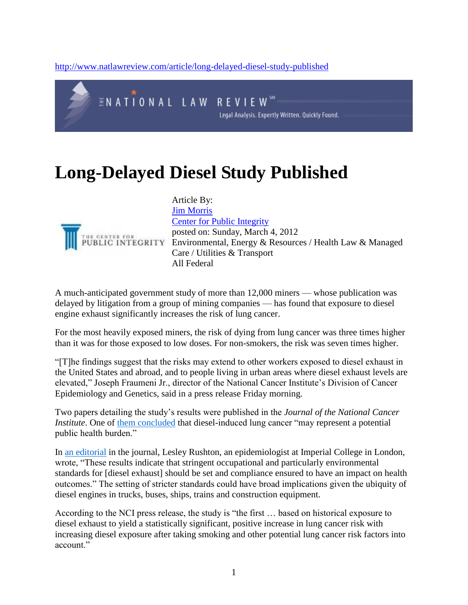<http://www.natlawreview.com/article/long-delayed-diesel-study-published>



## **Long-Delayed Diesel Study Published**



Article By: [Jim Morris](http://www.natlawreview.com/author/jim-morris) [Center for Public Integrity](http://www.natlawreview.com/organization/center-public-integrity) posted on: Sunday, March 4, 2012 EXECUTE FOR POSTED ON: Sunday, March 4, 2012<br>UBLIC INTEGRITY Environmental, Energy & Resources / Health Law & Managed Care / Utilities & Transport All Federal

A much-anticipated government study of more than 12,000 miners — whose publication was delayed by litigation from a group of mining companies — has found that exposure to diesel engine exhaust significantly increases the risk of lung cancer.

For the most heavily exposed miners, the risk of dying from lung cancer was three times higher than it was for those exposed to low doses. For non-smokers, the risk was seven times higher.

"[T]he findings suggest that the risks may extend to other workers exposed to diesel exhaust in the United States and abroad, and to people living in urban areas where diesel exhaust levels are elevated," Joseph Fraumeni Jr., director of the National Cancer Institute's Division of Cancer Epidemiology and Genetics, said in a press release Friday morning.

Two papers detailing the study's results were published in the *Journal of the National Cancer Institute*. One of [them concluded](http://www.oxfordjournals.org/our_journals/jnci/press_releases/silvermandjs034.pdf) that diesel-induced lung cancer "may represent a potential public health burden."

In [an editorial](http://www.oxfordjournals.org/our_journals/jnci/press_releases/rushtondjs137.pdf) in the journal, Lesley Rushton, an epidemiologist at Imperial College in London, wrote, "These results indicate that stringent occupational and particularly environmental standards for [diesel exhaust] should be set and compliance ensured to have an impact on health outcomes." The setting of stricter standards could have broad implications given the ubiquity of diesel engines in trucks, buses, ships, trains and construction equipment.

According to the NCI press release, the study is "the first … based on historical exposure to diesel exhaust to yield a statistically significant, positive increase in lung cancer risk with increasing diesel exposure after taking smoking and other potential lung cancer risk factors into account."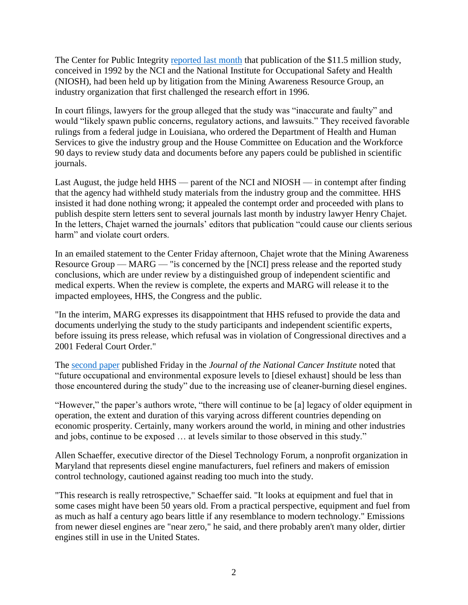The Center for Public Integrity [reported last month](http://www.iwatchnews.org/2012/02/06/8088/landmark-diesel-exhaust-study-stalled-amid-industry-and-congressional-objections) that publication of the \$11.5 million study, conceived in 1992 by the NCI and the National Institute for Occupational Safety and Health (NIOSH), had been held up by litigation from the Mining Awareness Resource Group, an industry organization that first challenged the research effort in 1996.

In court filings, lawyers for the group alleged that the study was "inaccurate and faulty" and would "likely spawn public concerns, regulatory actions, and lawsuits." They received favorable rulings from a federal judge in Louisiana, who ordered the Department of Health and Human Services to give the industry group and the House Committee on Education and the Workforce 90 days to review study data and documents before any papers could be published in scientific journals.

Last August, the judge held HHS — parent of the NCI and NIOSH — in contempt after finding that the agency had withheld study materials from the industry group and the committee. HHS insisted it had done nothing wrong; it appealed the contempt order and proceeded with plans to publish despite stern letters sent to several journals last month by industry lawyer Henry Chajet. In the letters, Chajet warned the journals' editors that publication "could cause our clients serious harm" and violate court orders.

In an emailed statement to the Center Friday afternoon, Chajet wrote that the Mining Awareness Resource Group — MARG — "is concerned by the [NCI] press release and the reported study conclusions, which are under review by a distinguished group of independent scientific and medical experts. When the review is complete, the experts and MARG will release it to the impacted employees, HHS, the Congress and the public.

"In the interim, MARG expresses its disappointment that HHS refused to provide the data and documents underlying the study to the study participants and independent scientific experts, before issuing its press release, which refusal was in violation of Congressional directives and a 2001 Federal Court Order."

The [second paper](http://www.oxfordjournals.org/our_journals/jnci/press_releases/attfielddjs035.pdf) published Friday in the *Journal of the National Cancer Institute* noted that "future occupational and environmental exposure levels to [diesel exhaust] should be less than those encountered during the study" due to the increasing use of cleaner-burning diesel engines.

"However," the paper's authors wrote, "there will continue to be [a] legacy of older equipment in operation, the extent and duration of this varying across different countries depending on economic prosperity. Certainly, many workers around the world, in mining and other industries and jobs, continue to be exposed … at levels similar to those observed in this study."

Allen Schaeffer, executive director of the Diesel Technology Forum, a nonprofit organization in Maryland that represents diesel engine manufacturers, fuel refiners and makers of emission control technology, cautioned against reading too much into the study.

"This research is really retrospective," Schaeffer said. "It looks at equipment and fuel that in some cases might have been 50 years old. From a practical perspective, equipment and fuel from as much as half a century ago bears little if any resemblance to modern technology." Emissions from newer diesel engines are "near zero," he said, and there probably aren't many older, dirtier engines still in use in the United States.